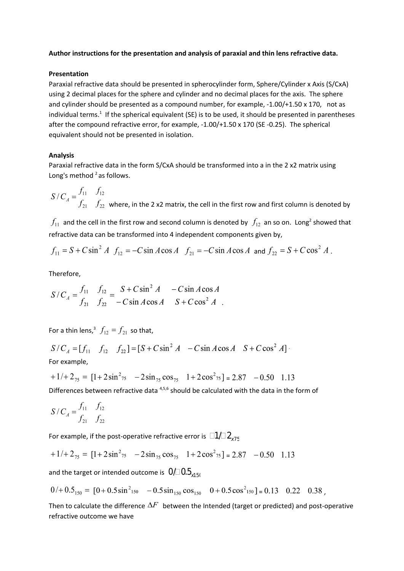## **Author instructions for the presentation and analysis of paraxial and thin lens refractive data.**

## **Presentation**

Paraxial refractive data should be presented in spherocylinder form, Sphere/Cylinder x Axis (S/CxA) using 2 decimal places for the sphere and cylinder and no decimal places for the axis. The sphere and cylinder should be presented as a compound number, for example, -1.00/+1.50 x 170, not as individual terms.<sup>1</sup> If the spherical equivalent (SE) is to be used, it should be presented in parentheses after the compound refractive error, for example, -1.00/+1.50 x 170 (SE -0.25). The spherical equivalent should not be presented in isolation.

# **Analysis**

Paraxial refractive data in the form S/CxA should be transformed into a in the 2 x2 matrix using Long's method <sup>2</sup> as follows.

where, in the 2 x2 matrix, the cell in the first row and first column is denoted by

and the cell in the first row and second column is denoted by  $\langle f_{12} \rangle$  an so on. Long<sup>2</sup> showed that 2 refractive data can be transformed into 4 independent components given by,

$$
f_{11} = S + C \sin^2 A
$$
  $f_{12} = -C \sin A \cos A$   $f_{21} = -C \sin A \cos A$  and  $f_{22} = S + C \cos^2 A$ .

Therefore,

$$
S/C_A = \frac{f_{11}}{f_{21}} - \frac{f_{12}}{f_{22}} = \frac{S + C \sin^2 A - C \sin A \cos A}{-C \sin A \cos A - S + C \cos^2 A}.
$$

For a thin lens,<sup>3</sup>  $f_{12} = f_{21}$  so that,

$$
S/C_A = [f_{11} \quad f_{12} \quad f_{22}] = [S + C \sin^2 A \quad -C \sin A \cos A \quad S + C \cos^2 A]
$$
  
For example,

$$
+1/+2_{75} = [1+2\sin^2 75 \quad -2\sin 75 \cos 75 \quad 1+2\cos^2 75] = 2.87 \quad -0.50 \quad 1.13
$$

Differences between refractive data <sup>4,5,6</sup> should be calculated with the data in the form of

$$
S/C_A = \frac{f_{11}}{f_{21}} \frac{f_{12}}{f_{22}}
$$

For example, if the post-operative refractive error is  $\Box 1/\Box 2_{\rm x75}$ 

$$
+1/+2_{75} = [1+2\sin^2 75 \quad -2\sin 75 \cos 75 \quad 1+2\cos^2 75] = 2.87 \quad -0.50 \quad 1.13
$$

and the target or intended outcome is  $0/10.5$ <sub>x150</sub>

$$
0/ + 0.5_{150} = [0 + 0.5 \sin^2_{150} - 0.5 \sin_{150} \cos_{150} \quad 0 + 0.5 \cos^2_{150}] = 0.13 \quad 0.22 \quad 0.38
$$

Then to calculate the difference  $\Delta F$  between the Intended (target or predicted) and post-operative refractive outcome we have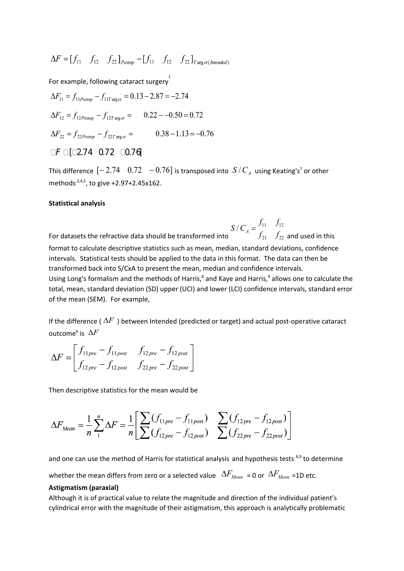$$
\Delta F = [f_{11} \quad f_{12} \quad f_{22}]_{\text{Postop}} - [f_{11} \quad f_{12} \quad f_{22}]_{\text{Target(Intended)}}
$$

For example, following cataract surgery

$$
\Delta F_{11} = f_{11Postop} - f_{11T \text{ arg } et} = 0.13 - 2.87 = -2.74
$$
\n
$$
\Delta F_{12} = f_{12Postop} - f_{12T \text{ arg } et} = 0.22 - -0.50 = 0.72
$$
\n
$$
\Delta F_{22} = f_{22Postop} - f_{22T \text{ arg } et} = 0.38 - 1.13 = -0.76
$$
\n
$$
\Box F \Box \Box 2.74 \quad 0.72 \quad \Box 0.76
$$

This difference  $\left[-2.74\quad 0.72\quad -0.76\right]$  is transposed into  $\left.S/C_{_A}\right.$  using Keating's<sup>7</sup> or other methods<sup>, 3,4,5</sup>, to give +2.97+2.45x162.

#### **Statistical analysis**

For datasets the refractive data should be transformed into  $S/C_A = \frac{f_{11}}{f_{21}} - \frac{f_{12}}{f_{22}}$  and used in this format to calculate descriptive statistics such as mean, median, standard deviations, confidence intervals. Statistical tests should be applied to the data in this format. The data can then be transformed back into S/CxA to present the mean, median and confidence intervals. Using Long's formalism and the methods of Harris,<sup>8</sup> and Kaye and Harris,<sup>4</sup> allows one to calculate the total, mean, standard deviation (SD) upper (UCI) and lower (LCI) confidence intervals, standard error of the mean (SEM). For example,

If the difference (  $\Delta F$  ) between Intended (predicted or target) and actual post-operative cataract outcome<sup>6</sup> is

$$
\Delta F = \begin{bmatrix} f_{11 \, pre} - f_{11 \, post} & f_{12 \, pre} - f_{12 \, post} \\ f_{12 \, pre} - f_{12 \, post} & f_{22 \, pre} - f_{22 \, post} \end{bmatrix}
$$

Then descriptive statistics for the mean would be

$$
\Delta F_{Mean} = \frac{1}{n} \sum_{1}^{n} \Delta F = \frac{1}{n} \left[ \sum_{1}^{n} (f_{11pre} - f_{11post}) \sum_{2}^{n} (f_{12pre} - f_{12post}) \right]
$$

$$
\sum_{1}^{n} (f_{22pre} - f_{22post})
$$

and one can use the method of Harris for statistical analysis and hypothesis tests <sup>8,9</sup> to determine

whether the mean differs from zero or a selected value  $\Delta F_{Mean} = 0$  or  $\Delta F_{Mean} = 1D$  etc.

#### **Astigmatism (paraxial)**

Although it is of practical value to relate the magnitude and direction of the individual patient's cylindrical error with the magnitude of their astigmatism, this approach is analytically problematic